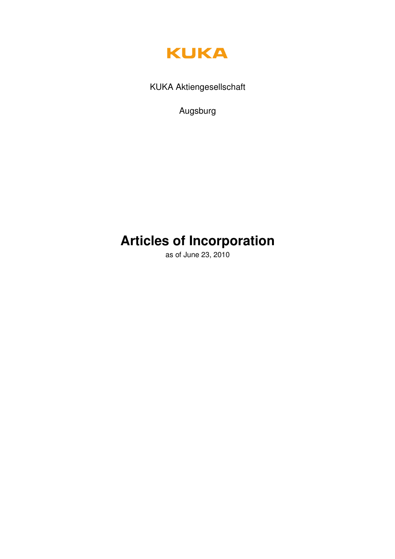

KUKA Aktiengesellschaft

Augsburg

# **Articles of Incorporation**

as of June 23, 2010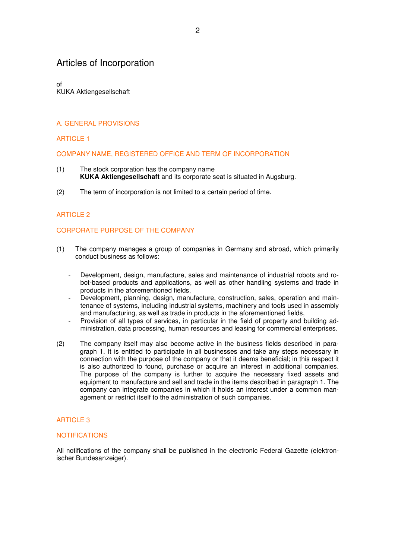# Articles of Incorporation

of KUKA Aktiengesellschaft

# A. GENERAL PROVISIONS

# ARTICLE 1

#### COMPANY NAME, REGISTERED OFFICE AND TERM OF INCORPORATION

- (1) The stock corporation has the company name **KUKA Aktiengesellschaft** and its corporate seat is situated in Augsburg.
- (2) The term of incorporation is not limited to a certain period of time.

# ARTICLE 2

# CORPORATE PURPOSE OF THE COMPANY

- (1) The company manages a group of companies in Germany and abroad, which primarily conduct business as follows:
	- Development, design, manufacture, sales and maintenance of industrial robots and robot-based products and applications, as well as other handling systems and trade in products in the aforementioned fields,
	- Development, planning, design, manufacture, construction, sales, operation and maintenance of systems, including industrial systems, machinery and tools used in assembly and manufacturing, as well as trade in products in the aforementioned fields,
	- Provision of all types of services, in particular in the field of property and building administration, data processing, human resources and leasing for commercial enterprises.
- (2) The company itself may also become active in the business fields described in paragraph 1. It is entitled to participate in all businesses and take any steps necessary in connection with the purpose of the company or that it deems beneficial; in this respect it is also authorized to found, purchase or acquire an interest in additional companies. The purpose of the company is further to acquire the necessary fixed assets and equipment to manufacture and sell and trade in the items described in paragraph 1. The company can integrate companies in which it holds an interest under a common management or restrict itself to the administration of such companies.

# ARTICLE 3

#### NOTIFICATIONS

All notifications of the company shall be published in the electronic Federal Gazette (elektronischer Bundesanzeiger).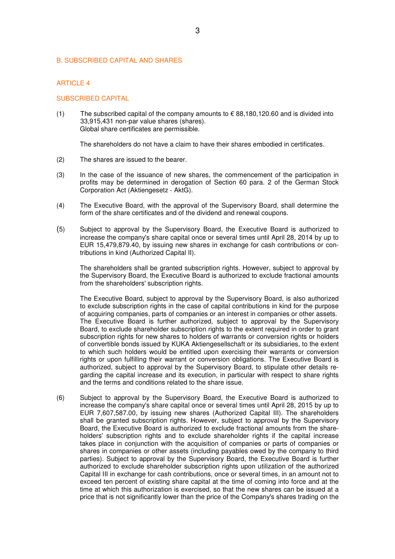#### B. SUBSCRIBED CAPITAL AND SHARES

# ARTICLE 4

#### SUBSCRIBED CAPITAL

(1) The subscribed capital of the company amounts to  $\epsilon$  88,180,120.60 and is divided into 33,915,431 non-par value shares (shares). Global share certificates are permissible.

The shareholders do not have a claim to have their shares embodied in certificates.

- (2) The shares are issued to the bearer.
- (3) In the case of the issuance of new shares, the commencement of the participation in profits may be determined in derogation of Section 60 para. 2 of the German Stock Corporation Act (Aktiengesetz - AktG).
- (4) The Executive Board, with the approval of the Supervisory Board, shall determine the form of the share certificates and of the dividend and renewal coupons.
- (5) Subject to approval by the Supervisory Board, the Executive Board is authorized to increase the company's share capital once or several times until April 28, 2014 by up to EUR 15,479,879.40, by issuing new shares in exchange for cash contributions or contributions in kind (Authorized Capital II).

The shareholders shall be granted subscription rights. However, subject to approval by the Supervisory Board, the Executive Board is authorized to exclude fractional amounts from the shareholders' subscription rights.

The Executive Board, subject to approval by the Supervisory Board, is also authorized to exclude subscription rights in the case of capital contributions in kind for the purpose of acquiring companies, parts of companies or an interest in companies or other assets. The Executive Board is further authorized, subject to approval by the Supervisory Board, to exclude shareholder subscription rights to the extent required in order to grant subscription rights for new shares to holders of warrants or conversion rights or holders of convertible bonds issued by KUKA Aktiengesellschaft or its subsidiaries, to the extent to which such holders would be entitled upon exercising their warrants or conversion rights or upon fulfilling their warrant or conversion obligations. The Executive Board is authorized, subject to approval by the Supervisory Board, to stipulate other details regarding the capital increase and its execution, in particular with respect to share rights and the terms and conditions related to the share issue.

(6) Subject to approval by the Supervisory Board, the Executive Board is authorized to increase the company's share capital once or several times until April 28, 2015 by up to EUR 7,607,587.00, by issuing new shares (Authorized Capital III). The shareholders shall be granted subscription rights. However, subject to approval by the Supervisory Board, the Executive Board is authorized to exclude fractional amounts from the shareholders' subscription rights and to exclude shareholder rights if the capital increase takes place in conjunction with the acquisition of companies or parts of companies or shares in companies or other assets (including payables owed by the company to third parties). Subject to approval by the Supervisory Board, the Executive Board is further authorized to exclude shareholder subscription rights upon utilization of the authorized Capital III in exchange for cash contributions, once or several times, in an amount not to exceed ten percent of existing share capital at the time of coming into force and at the time at which this authorization is exercised, so that the new shares can be issued at a price that is not significantly lower than the price of the Company's shares trading on the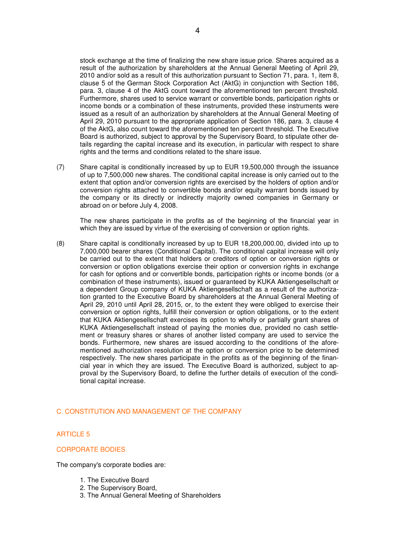stock exchange at the time of finalizing the new share issue price. Shares acquired as a result of the authorization by shareholders at the Annual General Meeting of April 29, 2010 and/or sold as a result of this authorization pursuant to Section 71, para. 1, item 8, clause 5 of the German Stock Corporation Act (AktG) in conjunction with Section 186, para. 3, clause 4 of the AktG count toward the aforementioned ten percent threshold. Furthermore, shares used to service warrant or convertible bonds, participation rights or income bonds or a combination of these instruments, provided these instruments were issued as a result of an authorization by shareholders at the Annual General Meeting of April 29, 2010 pursuant to the appropriate application of Section 186, para. 3, clause 4 of the AktG, also count toward the aforementioned ten percent threshold. The Executive Board is authorized, subject to approval by the Supervisory Board, to stipulate other details regarding the capital increase and its execution, in particular with respect to share rights and the terms and conditions related to the share issue.

(7) Share capital is conditionally increased by up to EUR 19,500,000 through the issuance of up to 7,500,000 new shares. The conditional capital increase is only carried out to the extent that option and/or conversion rights are exercised by the holders of option and/or conversion rights attached to convertible bonds and/or equity warrant bonds issued by the company or its directly or indirectly majority owned companies in Germany or abroad on or before July 4, 2008.

The new shares participate in the profits as of the beginning of the financial year in which they are issued by virtue of the exercising of conversion or option rights.

(8) Share capital is conditionally increased by up to EUR 18,200,000.00, divided into up to 7,000,000 bearer shares (Conditional Capital). The conditional capital increase will only be carried out to the extent that holders or creditors of option or conversion rights or conversion or option obligations exercise their option or conversion rights in exchange for cash for options and or convertible bonds, participation rights or income bonds (or a combination of these instruments), issued or guaranteed by KUKA Aktiengesellschaft or a dependent Group company of KUKA Aktiengesellschaft as a result of the authorization granted to the Executive Board by shareholders at the Annual General Meeting of April 29, 2010 until April 28, 2015, or, to the extent they were obliged to exercise their conversion or option rights, fulfill their conversion or option obligations, or to the extent that KUKA Aktiengesellschaft exercises its option to wholly or partially grant shares of KUKA Aktiengesellschaft instead of paying the monies due, provided no cash settlement or treasury shares or shares of another listed company are used to service the bonds. Furthermore, new shares are issued according to the conditions of the aforementioned authorization resolution at the option or conversion price to be determined respectively. The new shares participate in the profits as of the beginning of the financial year in which they are issued. The Executive Board is authorized, subject to approval by the Supervisory Board, to define the further details of execution of the conditional capital increase.

# C. CONSTITUTION AND MANAGEMENT OF THE COMPANY

### ARTICLE 5

# CORPORATE BODIES

The company's corporate bodies are:

- 1. The Executive Board
- 2. The Supervisory Board,
- 3. The Annual General Meeting of Shareholders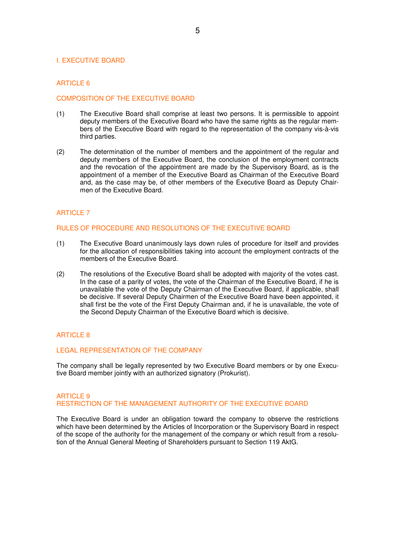#### I. EXECUTIVE BOARD

# ARTICLE 6

#### COMPOSITION OF THE EXECUTIVE BOARD

- (1) The Executive Board shall comprise at least two persons. It is permissible to appoint deputy members of the Executive Board who have the same rights as the regular members of the Executive Board with regard to the representation of the company vis-à-vis third parties.
- (2) The determination of the number of members and the appointment of the regular and deputy members of the Executive Board, the conclusion of the employment contracts and the revocation of the appointment are made by the Supervisory Board, as is the appointment of a member of the Executive Board as Chairman of the Executive Board and, as the case may be, of other members of the Executive Board as Deputy Chairmen of the Executive Board.

#### ARTICLE 7

#### RULES OF PROCEDURE AND RESOLUTIONS OF THE EXECUTIVE BOARD

- (1) The Executive Board unanimously lays down rules of procedure for itself and provides for the allocation of responsibilities taking into account the employment contracts of the members of the Executive Board.
- (2) The resolutions of the Executive Board shall be adopted with majority of the votes cast. In the case of a parity of votes, the vote of the Chairman of the Executive Board, if he is unavailable the vote of the Deputy Chairman of the Executive Board, if applicable, shall be decisive. If several Deputy Chairmen of the Executive Board have been appointed, it shall first be the vote of the First Deputy Chairman and, if he is unavailable, the vote of the Second Deputy Chairman of the Executive Board which is decisive.

#### ARTICLE 8

#### LEGAL REPRESENTATION OF THE COMPANY

The company shall be legally represented by two Executive Board members or by one Executive Board member jointly with an authorized signatory (Prokurist).

# ARTICLE 9 RESTRICTION OF THE MANAGEMENT AUTHORITY OF THE EXECUTIVE BOARD

The Executive Board is under an obligation toward the company to observe the restrictions which have been determined by the Articles of Incorporation or the Supervisory Board in respect of the scope of the authority for the management of the company or which result from a resolution of the Annual General Meeting of Shareholders pursuant to Section 119 AktG.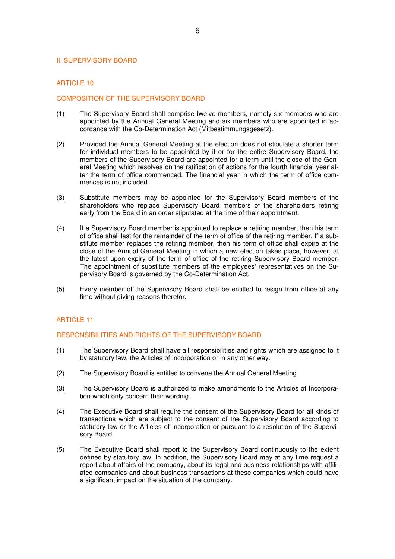#### II. SUPERVISORY BOARD

# ARTICLE 10

## COMPOSITION OF THE SUPERVISORY BOARD

- (1) The Supervisory Board shall comprise twelve members, namely six members who are appointed by the Annual General Meeting and six members who are appointed in accordance with the Co-Determination Act (Mitbestimmungsgesetz).
- (2) Provided the Annual General Meeting at the election does not stipulate a shorter term for individual members to be appointed by it or for the entire Supervisory Board, the members of the Supervisory Board are appointed for a term until the close of the General Meeting which resolves on the ratification of actions for the fourth financial year after the term of office commenced. The financial year in which the term of office commences is not included.
- (3) Substitute members may be appointed for the Supervisory Board members of the shareholders who replace Supervisory Board members of the shareholders retiring early from the Board in an order stipulated at the time of their appointment.
- (4) If a Supervisory Board member is appointed to replace a retiring member, then his term of office shall last for the remainder of the term of office of the retiring member. If a substitute member replaces the retiring member, then his term of office shall expire at the close of the Annual General Meeting in which a new election takes place, however, at the latest upon expiry of the term of office of the retiring Supervisory Board member. The appointment of substitute members of the employees' representatives on the Supervisory Board is governed by the Co-Determination Act.
- (5) Every member of the Supervisory Board shall be entitled to resign from office at any time without giving reasons therefor.

# ARTICLE 11

#### RESPONSIBILITIES AND RIGHTS OF THE SUPERVISORY BOARD

- (1) The Supervisory Board shall have all responsibilities and rights which are assigned to it by statutory law, the Articles of Incorporation or in any other way.
- (2) The Supervisory Board is entitled to convene the Annual General Meeting.
- (3) The Supervisory Board is authorized to make amendments to the Articles of Incorporation which only concern their wording.
- (4) The Executive Board shall require the consent of the Supervisory Board for all kinds of transactions which are subject to the consent of the Supervisory Board according to statutory law or the Articles of Incorporation or pursuant to a resolution of the Supervisory Board.
- (5) The Executive Board shall report to the Supervisory Board continuously to the extent defined by statutory law. In addition, the Supervisory Board may at any time request a report about affairs of the company, about its legal and business relationships with affiliated companies and about business transactions at these companies which could have a significant impact on the situation of the company.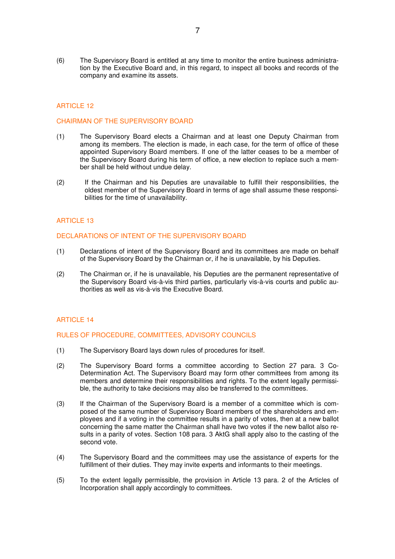(6) The Supervisory Board is entitled at any time to monitor the entire business administration by the Executive Board and, in this regard, to inspect all books and records of the company and examine its assets.

# ARTICLE 12

#### CHAIRMAN OF THE SUPERVISORY BOARD

- (1) The Supervisory Board elects a Chairman and at least one Deputy Chairman from among its members. The election is made, in each case, for the term of office of these appointed Supervisory Board members. If one of the latter ceases to be a member of the Supervisory Board during his term of office, a new election to replace such a member shall be held without undue delay.
- (2) If the Chairman and his Deputies are unavailable to fulfill their responsibilities, the oldest member of the Supervisory Board in terms of age shall assume these responsibilities for the time of unavailability.

#### ARTICLE 13

# DECLARATIONS OF INTENT OF THE SUPERVISORY BOARD

- (1) Declarations of intent of the Supervisory Board and its committees are made on behalf of the Supervisory Board by the Chairman or, if he is unavailable, by his Deputies.
- (2) The Chairman or, if he is unavailable, his Deputies are the permanent representative of the Supervisory Board vis-à-vis third parties, particularly vis-à-vis courts and public authorities as well as vis-à-vis the Executive Board.

# ARTICLE 14

#### RULES OF PROCEDURE, COMMITTEES, ADVISORY COUNCILS

- (1) The Supervisory Board lays down rules of procedures for itself.
- (2) The Supervisory Board forms a committee according to Section 27 para. 3 Co-Determination Act. The Supervisory Board may form other committees from among its members and determine their responsibilities and rights. To the extent legally permissible, the authority to take decisions may also be transferred to the committees.
- (3) If the Chairman of the Supervisory Board is a member of a committee which is composed of the same number of Supervisory Board members of the shareholders and employees and if a voting in the committee results in a parity of votes, then at a new ballot concerning the same matter the Chairman shall have two votes if the new ballot also results in a parity of votes. Section 108 para. 3 AktG shall apply also to the casting of the second vote.
- (4) The Supervisory Board and the committees may use the assistance of experts for the fulfillment of their duties. They may invite experts and informants to their meetings.
- (5) To the extent legally permissible, the provision in Article 13 para. 2 of the Articles of Incorporation shall apply accordingly to committees.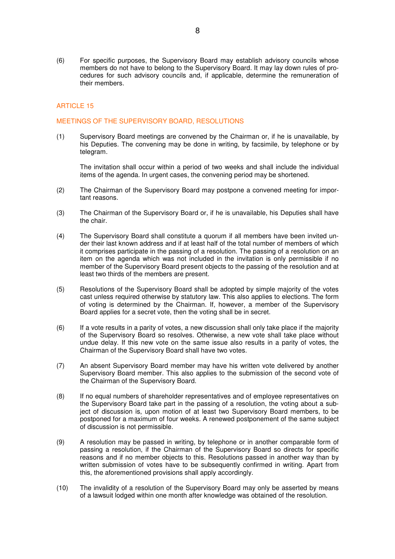(6) For specific purposes, the Supervisory Board may establish advisory councils whose members do not have to belong to the Supervisory Board. It may lay down rules of procedures for such advisory councils and, if applicable, determine the remuneration of their members.

# ARTICLE 15

# MEETINGS OF THE SUPERVISORY BOARD, RESOLUTIONS

(1) Supervisory Board meetings are convened by the Chairman or, if he is unavailable, by his Deputies. The convening may be done in writing, by facsimile, by telephone or by telegram.

The invitation shall occur within a period of two weeks and shall include the individual items of the agenda. In urgent cases, the convening period may be shortened.

- (2) The Chairman of the Supervisory Board may postpone a convened meeting for important reasons.
- (3) The Chairman of the Supervisory Board or, if he is unavailable, his Deputies shall have the chair.
- (4) The Supervisory Board shall constitute a quorum if all members have been invited under their last known address and if at least half of the total number of members of which it comprises participate in the passing of a resolution. The passing of a resolution on an item on the agenda which was not included in the invitation is only permissible if no member of the Supervisory Board present objects to the passing of the resolution and at least two thirds of the members are present.
- (5) Resolutions of the Supervisory Board shall be adopted by simple majority of the votes cast unless required otherwise by statutory law. This also applies to elections. The form of voting is determined by the Chairman. If, however, a member of the Supervisory Board applies for a secret vote, then the voting shall be in secret.
- (6) If a vote results in a parity of votes, a new discussion shall only take place if the majority of the Supervisory Board so resolves. Otherwise, a new vote shall take place without undue delay. If this new vote on the same issue also results in a parity of votes, the Chairman of the Supervisory Board shall have two votes.
- (7) An absent Supervisory Board member may have his written vote delivered by another Supervisory Board member. This also applies to the submission of the second vote of the Chairman of the Supervisory Board.
- (8) If no equal numbers of shareholder representatives and of employee representatives on the Supervisory Board take part in the passing of a resolution, the voting about a subject of discussion is, upon motion of at least two Supervisory Board members, to be postponed for a maximum of four weeks. A renewed postponement of the same subject of discussion is not permissible.
- (9) A resolution may be passed in writing, by telephone or in another comparable form of passing a resolution, if the Chairman of the Supervisory Board so directs for specific reasons and if no member objects to this. Resolutions passed in another way than by written submission of votes have to be subsequently confirmed in writing. Apart from this, the aforementioned provisions shall apply accordingly.
- (10) The invalidity of a resolution of the Supervisory Board may only be asserted by means of a lawsuit lodged within one month after knowledge was obtained of the resolution.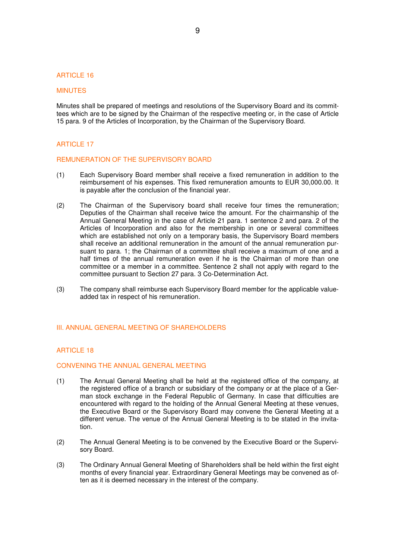#### ARTICLE 16

#### MINUTES

Minutes shall be prepared of meetings and resolutions of the Supervisory Board and its committees which are to be signed by the Chairman of the respective meeting or, in the case of Article 15 para. 9 of the Articles of Incorporation, by the Chairman of the Supervisory Board.

## **ARTICLE 17**

#### REMUNERATION OF THE SUPERVISORY BOARD

- (1) Each Supervisory Board member shall receive a fixed remuneration in addition to the reimbursement of his expenses. This fixed remuneration amounts to EUR 30,000.00. It is payable after the conclusion of the financial year.
- (2) The Chairman of the Supervisory board shall receive four times the remuneration; Deputies of the Chairman shall receive twice the amount. For the chairmanship of the Annual General Meeting in the case of Article 21 para. 1 sentence 2 and para. 2 of the Articles of Incorporation and also for the membership in one or several committees which are established not only on a temporary basis, the Supervisory Board members shall receive an additional remuneration in the amount of the annual remuneration pursuant to para. 1; the Chairman of a committee shall receive a maximum of one and a half times of the annual remuneration even if he is the Chairman of more than one committee or a member in a committee. Sentence 2 shall not apply with regard to the committee pursuant to Section 27 para. 3 Co-Determination Act.
- (3) The company shall reimburse each Supervisory Board member for the applicable valueadded tax in respect of his remuneration.

#### III. ANNUAL GENERAL MEETING OF SHAREHOLDERS

#### ARTICLE 18

#### CONVENING THE ANNUAL GENERAL MEETING

- (1) The Annual General Meeting shall be held at the registered office of the company, at the registered office of a branch or subsidiary of the company or at the place of a German stock exchange in the Federal Republic of Germany. In case that difficulties are encountered with regard to the holding of the Annual General Meeting at these venues, the Executive Board or the Supervisory Board may convene the General Meeting at a different venue. The venue of the Annual General Meeting is to be stated in the invitation.
- (2) The Annual General Meeting is to be convened by the Executive Board or the Supervisory Board.
- (3) The Ordinary Annual General Meeting of Shareholders shall be held within the first eight months of every financial year. Extraordinary General Meetings may be convened as often as it is deemed necessary in the interest of the company.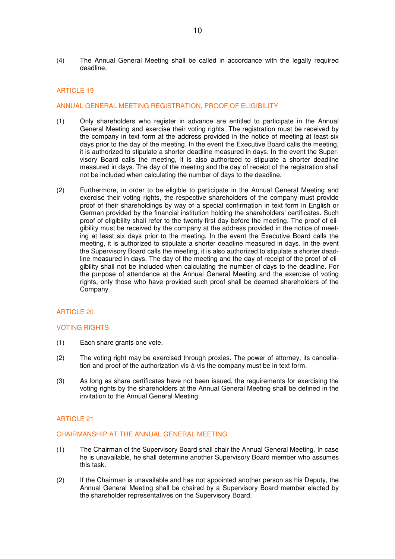(4) The Annual General Meeting shall be called in accordance with the legally required deadline.

# ARTICLE 19

#### ANNUAL GENERAL MEETING REGISTRATION, PROOF OF ELIGIBILITY

- (1) Only shareholders who register in advance are entitled to participate in the Annual General Meeting and exercise their voting rights. The registration must be received by the company in text form at the address provided in the notice of meeting at least six days prior to the day of the meeting. In the event the Executive Board calls the meeting, it is authorized to stipulate a shorter deadline measured in days. In the event the Supervisory Board calls the meeting, it is also authorized to stipulate a shorter deadline measured in days. The day of the meeting and the day of receipt of the registration shall not be included when calculating the number of days to the deadline.
- (2) Furthermore, in order to be eligible to participate in the Annual General Meeting and exercise their voting rights, the respective shareholders of the company must provide proof of their shareholdings by way of a special confirmation in text form in English or German provided by the financial institution holding the shareholders' certificates. Such proof of eligibility shall refer to the twenty-first day before the meeting. The proof of eligibility must be received by the company at the address provided in the notice of meeting at least six days prior to the meeting. In the event the Executive Board calls the meeting, it is authorized to stipulate a shorter deadline measured in days. In the event the Supervisory Board calls the meeting, it is also authorized to stipulate a shorter deadline measured in days. The day of the meeting and the day of receipt of the proof of eligibility shall not be included when calculating the number of days to the deadline. For the purpose of attendance at the Annual General Meeting and the exercise of voting rights, only those who have provided such proof shall be deemed shareholders of the Company.

#### ARTICLE 20

#### VOTING RIGHTS

- (1) Each share grants one vote.
- (2) The voting right may be exercised through proxies. The power of attorney, its cancellation and proof of the authorization vis-à-vis the company must be in text form.
- (3) As long as share certificates have not been issued, the requirements for exercising the voting rights by the shareholders at the Annual General Meeting shall be defined in the invitation to the Annual General Meeting.

#### ARTICLE 21

# CHAIRMANSHIP AT THE ANNUAL GENERAL MEETING

- (1) The Chairman of the Supervisory Board shall chair the Annual General Meeting. In case he is unavailable, he shall determine another Supervisory Board member who assumes this task.
- (2) If the Chairman is unavailable and has not appointed another person as his Deputy, the Annual General Meeting shall be chaired by a Supervisory Board member elected by the shareholder representatives on the Supervisory Board.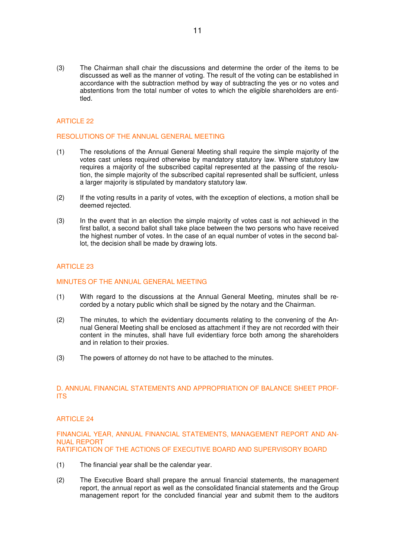(3) The Chairman shall chair the discussions and determine the order of the items to be discussed as well as the manner of voting. The result of the voting can be established in accordance with the subtraction method by way of subtracting the yes or no votes and abstentions from the total number of votes to which the eligible shareholders are entitled.

# ARTICLE 22

#### RESOLUTIONS OF THE ANNUAL GENERAL MEETING

- (1) The resolutions of the Annual General Meeting shall require the simple majority of the votes cast unless required otherwise by mandatory statutory law. Where statutory law requires a majority of the subscribed capital represented at the passing of the resolution, the simple majority of the subscribed capital represented shall be sufficient, unless a larger majority is stipulated by mandatory statutory law.
- (2) If the voting results in a parity of votes, with the exception of elections, a motion shall be deemed rejected.
- (3) In the event that in an election the simple majority of votes cast is not achieved in the first ballot, a second ballot shall take place between the two persons who have received the highest number of votes. In the case of an equal number of votes in the second ballot, the decision shall be made by drawing lots.

# ARTICLE 23

#### MINUTES OF THE ANNUAL GENERAL MEETING

- (1) With regard to the discussions at the Annual General Meeting, minutes shall be recorded by a notary public which shall be signed by the notary and the Chairman.
- (2) The minutes, to which the evidentiary documents relating to the convening of the Annual General Meeting shall be enclosed as attachment if they are not recorded with their content in the minutes, shall have full evidentiary force both among the shareholders and in relation to their proxies.
- (3) The powers of attorney do not have to be attached to the minutes.

# D. ANNUAL FINANCIAL STATEMENTS AND APPROPRIATION OF BALANCE SHEET PROF-ITS

#### ARTICLE 24

FINANCIAL YEAR, ANNUAL FINANCIAL STATEMENTS, MANAGEMENT REPORT AND AN-NUAL REPORT RATIFICATION OF THE ACTIONS OF EXECUTIVE BOARD AND SUPERVISORY BOARD

- (1) The financial year shall be the calendar year.
- (2) The Executive Board shall prepare the annual financial statements, the management report, the annual report as well as the consolidated financial statements and the Group management report for the concluded financial year and submit them to the auditors